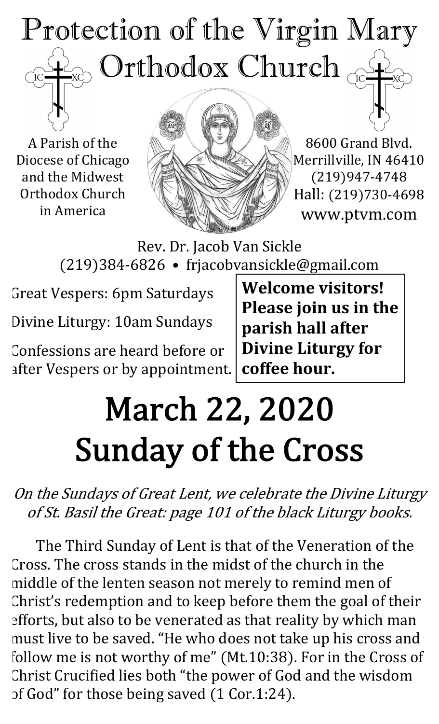## Protection of the Virgin Mary  $_{\odot}$  Orthodox Church  $_{\odot}$  $\overline{C}$

A Parish of the Diocese of Chicago and the Midwest Orthodox Church in America



8600 Grand Blvd. Merrillville, IN 46410 (219)947-4748 Hall: (219)730-4698 www.ptvm.com

Rev. Dr. Jacob Van Sickle (219)384-6826 • frjacobvansickle@gmail.com

Great Vespers: 6pm Saturdays

Divine Liturgy: 10am Sundays

Confessions are heard before or after Vespers or by appointment.

**Welcome visitors! Please join us in the parish hall after Divine Liturgy for coffee hour.**

# March 22, 2020 Sunday of the Cross

On the Sundays of Great Lent, we celebrate the Divine Liturgy of St. Basil the Great: page 101 of the black Liturgy books.

The Third Sunday of Lent is that of the Veneration of the Cross. The cross stands in the midst of the church in the middle of the lenten season not merely to remind men of Christ's redemption and to keep before them the goal of their efforts, but also to be venerated as that reality by which man must live to be saved. "He who does not take up his cross and follow me is not worthy of me" (Mt.10:38). For in the Cross of Christ Crucified lies both "the power of God and the wisdom of God" for those being saved (1 Cor.1:24).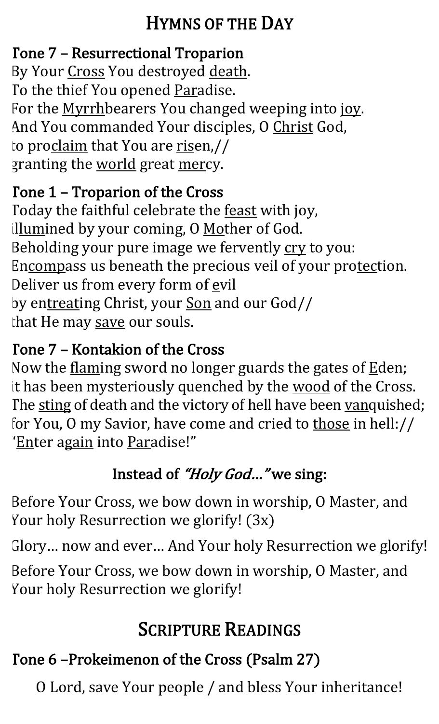### **HYMNS OF THE DAY**

### Tone 7 – Resurrectional Troparion

By Your Cross You destroyed death. To the thief You opened Paradise. For the Myrrhbearers You changed weeping into joy. And You commanded Your disciples, O Christ God, to proclaim that You are risen,// granting the world great mercy.

### Tone 1 – Troparion of the Cross

Today the faithful celebrate the feast with joy, illumined by your coming, O Mother of God. Beholding your pure image we fervently cry to you: Encompass us beneath the precious veil of your protection. Deliver us from every form of evil by entreating Christ, your <u>Son</u> and our God// that He may save our souls.

#### Tone 7 - Kontakion of the Cross

Now the flaming sword no longer guards the gates of  $E$ den; it has been mysteriously quenched by the wood of the Cross. The sting of death and the victory of hell have been vanquished; for You, O my Savior, have come and cried to those in hell:// 'Enter again into Paradise!"

## Instead of "Holy God..." we sing:

Before Your Cross, we bow down in worship, O Master, and Your holy Resurrection we glorify! (3x)

Glory... now and ever... And Your holy Resurrection we glorify!

Before Your Cross, we bow down in worship, O Master, and Your holy Resurrection we glorify!

## **SCRIPTURE READINGS**

## Tone 6 -Prokeimenon of the Cross (Psalm 27)

O Lord, save Your people / and bless Your inheritance!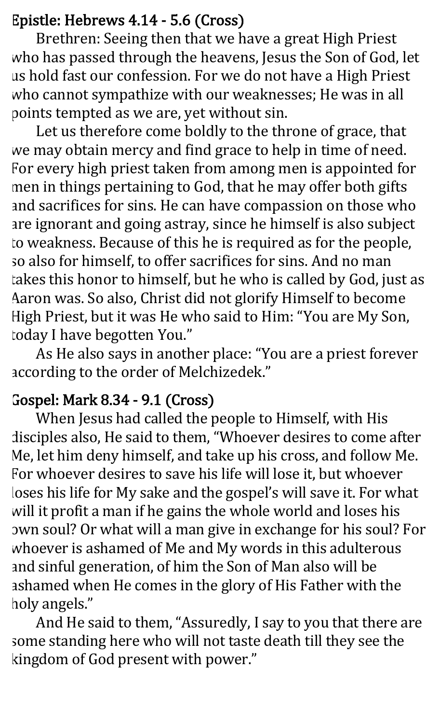#### Epistle: Hebrews 4.14 - 5.6 (Cross)

Brethren: Seeing then that we have a great High Priest who has passed through the heavens, Jesus the Son of God, let us hold fast our confession. For we do not have a High Priest who cannot sympathize with our weaknesses; He was in all points tempted as we are, yet without sin.

Let us therefore come boldly to the throne of grace, that we may obtain mercy and find grace to help in time of need. For every high priest taken from among men is appointed for men in things pertaining to God, that he may offer both gifts and sacrifices for sins. He can have compassion on those who are ignorant and going astray, since he himself is also subject to weakness. Because of this he is required as for the people, so also for himself, to offer sacrifices for sins. And no man takes this honor to himself, but he who is called by God, just as Aaron was. So also, Christ did not glorify Himself to become High Priest, but it was He who said to Him: "You are My Son, today I have begotten You."

As He also says in another place: "You are a priest forever according to the order of Melchizedek."

#### Gospel: Mark 8.34 - 9.1 (Cross)

When Jesus had called the people to Himself, with His disciples also, He said to them, "Whoever desires to come after Me, let him deny himself, and take up his cross, and follow Me. For whoever desires to save his life will lose it, but whoever loses his life for My sake and the gospel's will save it. For what will it profit a man if he gains the whole world and loses his own soul? Or what will a man give in exchange for his soul? For whoever is ashamed of Me and My words in this adulterous and sinful generation, of him the Son of Man also will be ashamed when He comes in the glory of His Father with the holy angels."

And He said to them, "Assuredly, I say to you that there are some standing here who will not taste death till they see the kingdom of God present with power."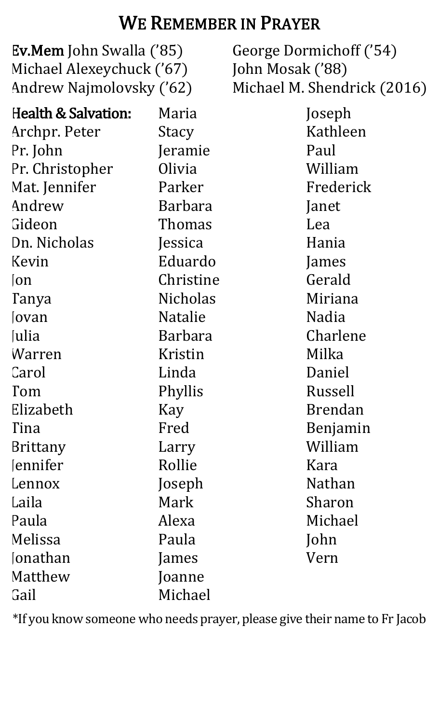#### WE REMEMBER IN PRAYER

Ev.Mem John Swalla ('85) Michael Alexeychuck ('67) Andrew Najmolovsky ('62) George Dormichoff ('54) John Mosak ('88) Michael M. Shendrick (2016) Health & Salvation: Archpr. Peter Pr. John Pr. Christopher Mat. Jennifer Andrew Gideon Dn. Nicholas Kevin Jon Tanya Jovan **Julia** Warren **Carol** Tom Elizabeth Tina Brittany *<u>Iennifer</u>* Lennox Laila Paula Melissa **Jonathan** Matthew Gail Maria **Stacy** Jeramie Olivia Parker Barbara Thomas Jessica Eduardo Christine Nicholas Natalie Barbara Kristin Linda Phyllis Kay Fred Larry Rollie Joseph Mark Alexa Paula James Joanne Michael Joseph Kathleen Paul William Frederick Janet Lea Hania James Gerald Miriana Nadia Charlene Milka Daniel Russell Brendan Benjamin William Kara Nathan Sharon Michael John Vern

\*If you know someone who needs prayer, please give their name to Fr Jacob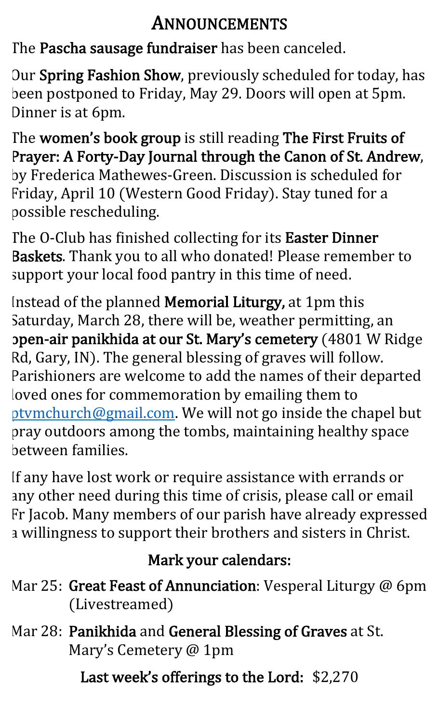#### ANNOUNCEMENTS

The Pascha sausage fundraiser has been canceled.

Our Spring Fashion Show, previously scheduled for today, has been postponed to Friday, May 29. Doors will open at 5pm. Dinner is at 6pm.

The women's book group is still reading The First Fruits of Prayer: A Forty-Day Journal through the Canon of St. Andrew, by Frederica Mathewes-Green. Discussion is scheduled for Friday, April 10 (Western Good Friday). Stay tuned for a possible rescheduling.

The O-Club has finished collecting for its Easter Dinner Baskets. Thank you to all who donated! Please remember to support your local food pantry in this time of need.

Instead of the planned Memorial Liturgy, at 1pm this Saturday, March 28, there will be, weather permitting, an open-air panikhida at our St. Mary's cemetery (4801 W Ridge Rd, Gary, IN). The general blessing of graves will follow. Parishioners are welcome to add the names of their departed loved ones for commemoration by emailing them to ptymchurch@gmail.com. We will not go inside the chapel but pray outdoors among the tombs, maintaining healthy space between families.

If any have lost work or require assistance with errands or any other need during this time of crisis, please call or email Fr Jacob. Many members of our parish have already expressed a willingness to support their brothers and sisters in Christ.

#### Mark your calendars:

- Mar 25: Great Feast of Annunciation: Vesperal Liturgy  $@$  6pm (Livestreamed)
- Mar 28: Panikhida and General Blessing of Graves at St. Mary's Cemetery @ 1pm

Last week's offerings to the Lord: \$2,270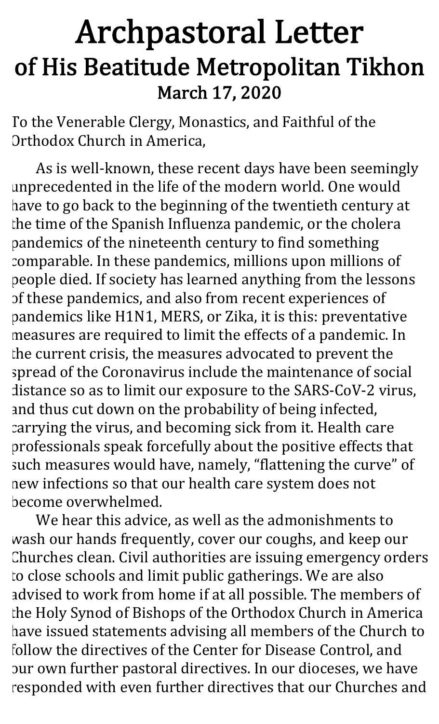## Archpastoral Letter of His Beatitude Metropolitan Tikhon March 17, 2020

To the Venerable Clergy, Monastics, and Faithful of the Orthodox Church in America,

As is well-known, these recent days have been seemingly unprecedented in the life of the modern world. One would have to go back to the beginning of the twentieth century at the time of the Spanish Influenza pandemic, or the cholera pandemics of the nineteenth century to find something comparable. In these pandemics, millions upon millions of people died. If society has learned anything from the lessons of these pandemics, and also from recent experiences of pandemics like H1N1, MERS, or Zika, it is this: preventative measures are required to limit the effects of a pandemic. In the current crisis, the measures advocated to prevent the spread of the Coronavirus include the maintenance of social distance so as to limit our exposure to the SARS-CoV-2 virus, and thus cut down on the probability of being infected, carrying the virus, and becoming sick from it. Health care professionals speak forcefully about the positive effects that such measures would have, namely, "flattening the curve" of new infections so that our health care system does not become overwhelmed.

We hear this advice, as well as the admonishments to wash our hands frequently, cover our coughs, and keep our Churches clean. Civil authorities are issuing emergency orders to close schools and limit public gatherings. We are also advised to work from home if at all possible. The members of the Holy Synod of Bishops of the Orthodox Church in America have issued statements advising all members of the Church to follow the directives of the Center for Disease Control, and our own further pastoral directives. In our dioceses, we have responded with even further directives that our Churches and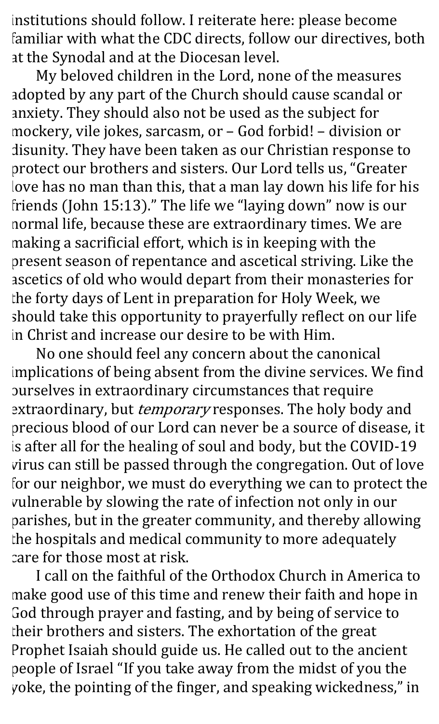institutions should follow. I reiterate here: please become familiar with what the CDC directs, follow our directives, both at the Synodal and at the Diocesan level.

My beloved children in the Lord, none of the measures adopted by any part of the Church should cause scandal or anxiety. They should also not be used as the subject for mockery, vile jokes, sarcasm, or - God forbid! - division or disunity. They have been taken as our Christian response to protect our brothers and sisters. Our Lord tells us, "Greater love has no man than this, that a man lay down his life for his friends (John 15:13)." The life we "laying down" now is our normal life, because these are extraordinary times. We are making a sacrificial effort, which is in keeping with the present season of repentance and ascetical striving. Like the ascetics of old who would depart from their monasteries for the forty days of Lent in preparation for Holy Week, we should take this opportunity to prayerfully reflect on our life in Christ and increase our desire to be with Him.

No one should feel any concern about the canonical implications of being absent from the divine services. We find ourselves in extraordinary circumstances that require extraordinary, but *temporary* responses. The holy body and precious blood of our Lord can never be a source of disease, it is after all for the healing of soul and body, but the COVID-19 virus can still be passed through the congregation. Out of love for our neighbor, we must do everything we can to protect the vulnerable by slowing the rate of infection not only in our parishes, but in the greater community, and thereby allowing the hospitals and medical community to more adequately care for those most at risk.

I call on the faithful of the Orthodox Church in America to make good use of this time and renew their faith and hope in God through prayer and fasting, and by being of service to their brothers and sisters. The exhortation of the great Prophet Isaiah should guide us. He called out to the ancient people of Israel "If you take away from the midst of you the yoke, the pointing of the finger, and speaking wickedness," in